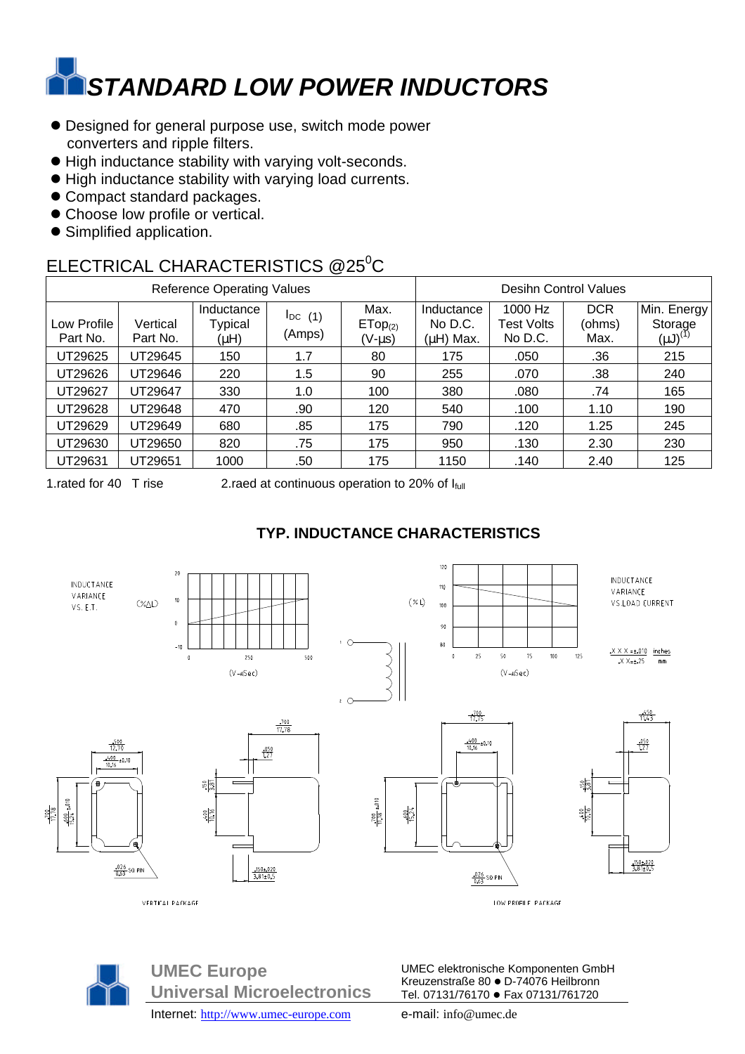## *STANDARD LOW POWER INDUCTORS*

- $\bullet$  Designed for general purpose use, switch mode power converters and ripple filters.
- $\bullet$  High inductance stability with varying volt-seconds.
- $\bullet$  High inductance stability with varying load currents.
- **Compact standard packages.**
- **Choose low profile or vertical.**
- **Simplified application.**

## ELECTRICAL CHARACTERISTICS @25<sup>0</sup>C

| <b>Reference Operating Values</b> |                      |                                    |                        |                                              | Desihn Control Values                   |                                         |                              |                                            |
|-----------------------------------|----------------------|------------------------------------|------------------------|----------------------------------------------|-----------------------------------------|-----------------------------------------|------------------------------|--------------------------------------------|
| Low Profile<br>Part No.           | Vertical<br>Part No. | Inductance<br>Typical<br>$(\mu H)$ | $I_{DC}$ (1)<br>(Amps) | Max.<br>ETop <sub>(2)</sub><br>$(V - \mu s)$ | Inductance<br>No D.C.<br>$(\mu H)$ Max. | 1000 Hz<br><b>Test Volts</b><br>No D.C. | <b>DCR</b><br>(ohms)<br>Max. | Min. Energy<br>Storage<br>$({\mu}J)^{(1)}$ |
| UT29625                           | UT29645              | 150                                | 1.7                    | 80                                           | 175                                     | .050                                    | .36                          | 215                                        |
| UT29626                           | UT29646              | 220                                | 1.5                    | 90                                           | 255                                     | .070                                    | .38                          | 240                                        |
| UT29627                           | UT29647              | 330                                | 1.0                    | 100                                          | 380                                     | .080                                    | .74                          | 165                                        |
| UT29628                           | UT29648              | 470                                | .90                    | 120                                          | 540                                     | .100                                    | 1.10                         | 190                                        |
| UT29629                           | UT29649              | 680                                | .85                    | 175                                          | 790                                     | .120                                    | 1.25                         | 245                                        |
| UT29630                           | UT29650              | 820                                | .75                    | 175                                          | 950                                     | .130                                    | 2.30                         | 230                                        |
| UT29631                           | UT29651              | 1000                               | .50                    | 175                                          | 1150                                    | .140                                    | 2.40                         | 125                                        |

1.rated for 40 T rise 2.raed at continuous operation to 20% of I<sub>full</sub>



## **TYP. INDUCTANCE CHARACTERISTICS**

**UMEC Europe Universal Microelectronics** Internet: http://www.umec-europe.com e-mail: info@umec.de

UMEC elektronische Komponenten GmbH Kreuzenstraße 80 ● D-74076 Heilbronn Tel. 07131/76170 · Fax 07131/761720